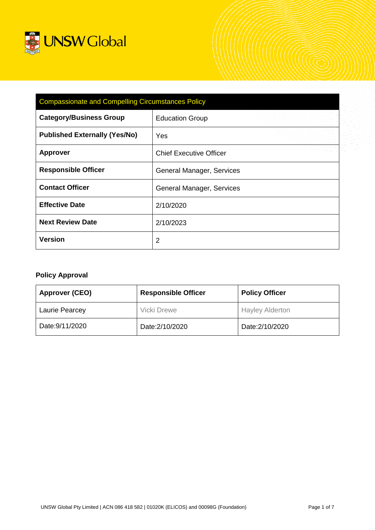

| <b>Compassionate and Compelling Circumstances Policy</b> |                                |  |
|----------------------------------------------------------|--------------------------------|--|
| <b>Category/Business Group</b>                           | <b>Education Group</b>         |  |
| <b>Published Externally (Yes/No)</b>                     | Yes                            |  |
| <b>Approver</b>                                          | <b>Chief Executive Officer</b> |  |
| <b>Responsible Officer</b>                               | General Manager, Services      |  |
| <b>Contact Officer</b>                                   | General Manager, Services      |  |
| <b>Effective Date</b>                                    | 2/10/2020                      |  |
| <b>Next Review Date</b>                                  | 2/10/2023                      |  |
| <b>Version</b>                                           | $\overline{2}$                 |  |

# **Policy Approval**

| <b>Approver (CEO)</b> | <b>Responsible Officer</b>         | <b>Policy Officer</b>  |
|-----------------------|------------------------------------|------------------------|
| Laurie Pearcey        | Vicki Drewe                        | <b>Hayley Alderton</b> |
| Date: 9/11/2020       | Date: 2/10/2020<br>Date: 2/10/2020 |                        |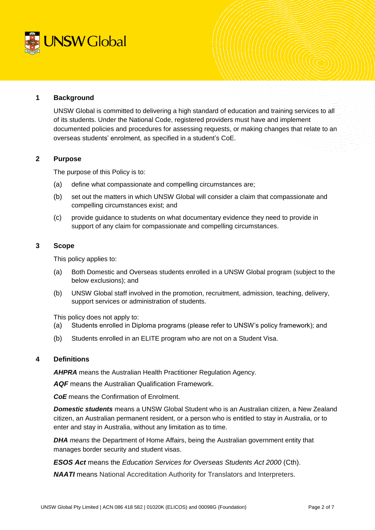

#### **1 Background**

UNSW Global is committed to delivering a high standard of education and training services to all of its students. Under the National Code, registered providers must have and implement documented policies and procedures for assessing requests, or making changes that relate to an overseas students' enrolment, as specified in a student's CoE.

## **2 Purpose**

The purpose of this Policy is to:

- (a) define what compassionate and compelling circumstances are;
- (b) set out the matters in which UNSW Global will consider a claim that compassionate and compelling circumstances exist; and
- (c) provide guidance to students on what documentary evidence they need to provide in support of any claim for compassionate and compelling circumstances.

## **3 Scope**

This policy applies to:

- (a) Both Domestic and Overseas students enrolled in a UNSW Global program (subject to the below exclusions); and
- (b) UNSW Global staff involved in the promotion, recruitment, admission, teaching, delivery, support services or administration of students.

This policy does not apply to:

- (a) Students enrolled in Diploma programs (please refer to UNSW's policy framework); and
- (b) Students enrolled in an ELITE program who are not on a Student Visa.

# **4 Definitions**

*AHPRA* means the Australian Health Practitioner Regulation Agency.

*AQF* means the Australian Qualification Framework.

*CoE* means the Confirmation of Enrolment.

*Domestic students* means a UNSW Global Student who is an Australian citizen, a New Zealand citizen, an Australian permanent resident, or a person who is entitled to stay in Australia, or to enter and stay in Australia, without any limitation as to time.

*DHA means* the Department of Home Affairs, being the Australian government entity that manages border security and student visas.

*ESOS Act* means the *Education Services for Overseas Students Act 2000* (Cth).

*NAATI* means National Accreditation Authority for Translators and Interpreters.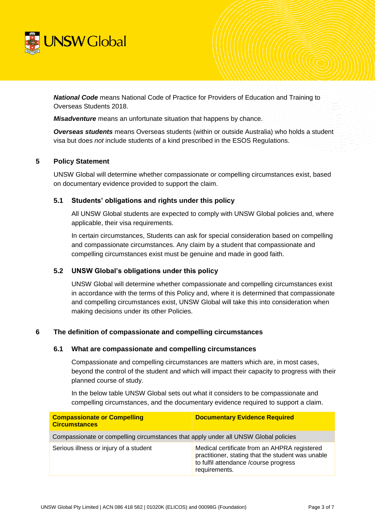

*National Code* means National Code of Practice for Providers of Education and Training to Overseas Students 2018.

*Misadventure* means an unfortunate situation that happens by chance.

*Overseas students* means Overseas students (within or outside Australia) who holds a student visa but does *not* include students of a kind prescribed in the ESOS Regulations.

#### **5 Policy Statement**

UNSW Global will determine whether compassionate or compelling circumstances exist, based on documentary evidence provided to support the claim.

## **5.1 Students' obligations and rights under this policy**

All UNSW Global students are expected to comply with UNSW Global policies and, where applicable, their visa requirements.

In certain circumstances, Students can ask for special consideration based on compelling and compassionate circumstances. Any claim by a student that compassionate and compelling circumstances exist must be genuine and made in good faith.

# **5.2 UNSW Global's obligations under this policy**

UNSW Global will determine whether compassionate and compelling circumstances exist in accordance with the terms of this Policy and, where it is determined that compassionate and compelling circumstances exist, UNSW Global will take this into consideration when making decisions under its other Policies.

#### <span id="page-2-0"></span>**6 The definition of compassionate and compelling circumstances**

#### **6.1 What are compassionate and compelling circumstances**

Compassionate and compelling circumstances are matters which are, in most cases, beyond the control of the student and which will impact their capacity to progress with their planned course of study.

In the below table UNSW Global sets out what it considers to be compassionate and compelling circumstances, and the documentary evidence required to support a claim.

| <b>Compassionate or Compelling</b><br><b>Circumstances</b>                          | <b>Documentary Evidence Required</b>                                                                                                                        |  |
|-------------------------------------------------------------------------------------|-------------------------------------------------------------------------------------------------------------------------------------------------------------|--|
| Compassionate or compelling circumstances that apply under all UNSW Global policies |                                                                                                                                                             |  |
| Serious illness or injury of a student                                              | Medical certificate from an AHPRA registered<br>practitioner, stating that the student was unable<br>to fulfil attendance /course progress<br>requirements. |  |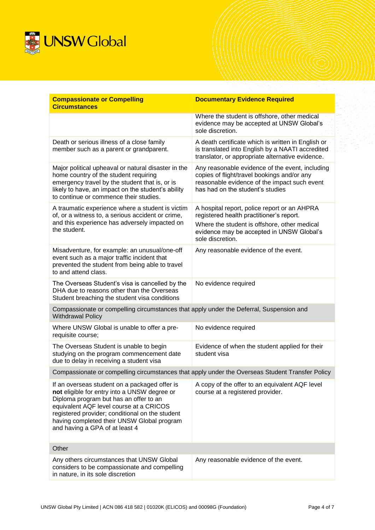

| <b>Compassionate or Compelling</b><br><b>Circumstances</b>                                                                                                                                                                                                                                                            | <b>Documentary Evidence Required</b>                                                                                                                                                                      |  |  |  |
|-----------------------------------------------------------------------------------------------------------------------------------------------------------------------------------------------------------------------------------------------------------------------------------------------------------------------|-----------------------------------------------------------------------------------------------------------------------------------------------------------------------------------------------------------|--|--|--|
|                                                                                                                                                                                                                                                                                                                       | Where the student is offshore, other medical<br>evidence may be accepted at UNSW Global's<br>sole discretion.                                                                                             |  |  |  |
| Death or serious illness of a close family<br>member such as a parent or grandparent.                                                                                                                                                                                                                                 | A death certificate which is written in English or<br>is translated into English by a NAATI accredited<br>translator, or appropriate alternative evidence.                                                |  |  |  |
| Major political upheaval or natural disaster in the<br>home country of the student requiring<br>emergency travel by the student that is, or is<br>likely to have, an impact on the student's ability<br>to continue or commence their studies.                                                                        | Any reasonable evidence of the event, including<br>copies of flight/travel bookings and/or any<br>reasonable evidence of the impact such event<br>has had on the student's studies                        |  |  |  |
| A traumatic experience where a student is victim<br>of, or a witness to, a serious accident or crime,<br>and this experience has adversely impacted on<br>the student.                                                                                                                                                | A hospital report, police report or an AHPRA<br>registered health practitioner's report.<br>Where the student is offshore, other medical<br>evidence may be accepted in UNSW Global's<br>sole discretion. |  |  |  |
| Misadventure, for example: an unusual/one-off<br>event such as a major traffic incident that<br>prevented the student from being able to travel<br>to and attend class.                                                                                                                                               | Any reasonable evidence of the event.                                                                                                                                                                     |  |  |  |
| The Overseas Student's visa is cancelled by the<br>DHA due to reasons other than the Overseas<br>Student breaching the student visa conditions                                                                                                                                                                        | No evidence required                                                                                                                                                                                      |  |  |  |
| Compassionate or compelling circumstances that apply under the Deferral, Suspension and<br><b>Withdrawal Policy</b>                                                                                                                                                                                                   |                                                                                                                                                                                                           |  |  |  |
| Where UNSW Global is unable to offer a pre-<br>requisite course;                                                                                                                                                                                                                                                      | No evidence required                                                                                                                                                                                      |  |  |  |
| The Overseas Student is unable to begin<br>studying on the program commencement date<br>due to delay in receiving a student visa                                                                                                                                                                                      | Evidence of when the student applied for their<br>student visa                                                                                                                                            |  |  |  |
| Compassionate or compelling circumstances that apply under the Overseas Student Transfer Policy                                                                                                                                                                                                                       |                                                                                                                                                                                                           |  |  |  |
| If an overseas student on a packaged offer is<br>not eligible for entry into a UNSW degree or<br>Diploma program but has an offer to an<br>equivalent AQF level course at a CRICOS<br>registered provider; conditional on the student<br>having completed their UNSW Global program<br>and having a GPA of at least 4 | A copy of the offer to an equivalent AQF level<br>course at a registered provider.                                                                                                                        |  |  |  |
| Other                                                                                                                                                                                                                                                                                                                 |                                                                                                                                                                                                           |  |  |  |
| Any others circumstances that UNSW Global<br>considers to be compassionate and compelling<br>in nature, in its sole discretion                                                                                                                                                                                        | Any reasonable evidence of the event.                                                                                                                                                                     |  |  |  |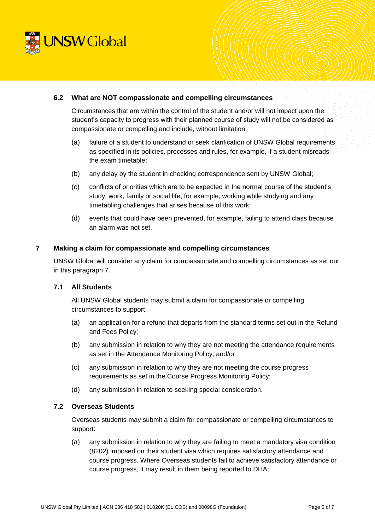

#### **6.2 What are NOT compassionate and compelling circumstances**

Circumstances that are within the control of the student and/or will not impact upon the student's capacity to progress with their planned course of study will not be considered as compassionate or compelling and include, without limitation:

- (a) failure of a student to understand or seek clarification of UNSW Global requirements as specified in its policies, processes and rules, for example, if a student misreads the exam timetable;
- (b) any delay by the student in checking correspondence sent by UNSW Global;
- (c) conflicts of priorities which are to be expected in the normal course of the student's study, work, family or social life, for example, working while studying and any timetabling challenges that arises because of this work;
- (d) events that could have been prevented, for example, failing to attend class because an alarm was not set.

## **7 Making a claim for compassionate and compelling circumstances**

UNSW Global will consider any claim for compassionate and compelling circumstances as set out in this paragraph 7.

# **7.1 All Students**

All UNSW Global students may submit a claim for compassionate or compelling circumstances to support:

- (a) an application for a refund that departs from the standard terms set out in the Refund and Fees Policy;
- (b) any submission in relation to why they are not meeting the attendance requirements as set in the Attendance Monitoring Policy; and/or
- (c) any submission in relation to why they are not meeting the course progress requirements as set in the Course Progress Monitoring Policy;
- (d) any submission in relation to seeking special consideration.

#### **7.2 Overseas Students**

Overseas students may submit a claim for compassionate or compelling circumstances to support:

(a) any submission in relation to why they are failing to meet a mandatory visa condition (8202) imposed on their student visa which requires satisfactory attendance and course progress. Where Overseas students fail to achieve satisfactory attendance or course progress, it may result in them being reported to DHA;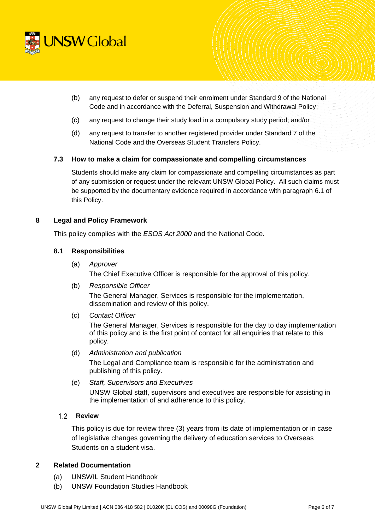

- (b) any request to defer or suspend their enrolment under Standard 9 of the National Code and in accordance with the Deferral, Suspension and Withdrawal Policy;
- (c) any request to change their study load in a compulsory study period; and/or
- (d) any request to transfer to another registered provider under Standard 7 of the National Code and the Overseas Student Transfers Policy.

## **7.3 How to make a claim for compassionate and compelling circumstances**

Students should make any claim for compassionate and compelling circumstances as part of any submission or request under the relevant UNSW Global Policy. All such claims must be supported by the documentary evidence required in accordance with paragraph [6.1](#page-2-0) of this Policy.

## **8 Legal and Policy Framework**

This policy complies with the *ESOS Act 2000* and the National Code.

## **8.1 Responsibilities**

- (a) *Approver* The Chief Executive Officer is responsible for the approval of this policy.
- (b) *Responsible Officer* The General Manager, Services is responsible for the implementation, dissemination and review of this policy.
- (c) *Contact Officer*

The General Manager, Services is responsible for the day to day implementation of this policy and is the first point of contact for all enquiries that relate to this policy.

- (d) *Administration and publication* The Legal and Compliance team is responsible for the administration and publishing of this policy.
- (e) *Staff, Supervisors and Executives* UNSW Global staff, supervisors and executives are responsible for assisting in the implementation of and adherence to this policy.

## **Review**

This policy is due for review three (3) years from its date of implementation or in case of legislative changes governing the delivery of education services to Overseas Students on a student visa.

# **2 Related Documentation**

- (a) UNSWIL Student Handbook
- (b) UNSW Foundation Studies Handbook